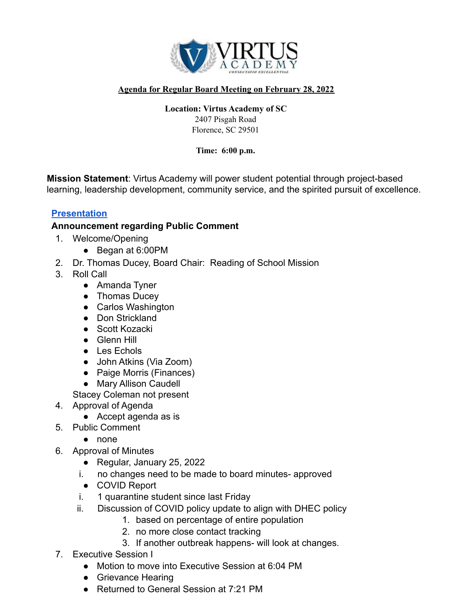

## **Agenda for Regular Board Meeting on February 28, 2022**

## **Location: Virtus Academy of SC**

2407 Pisgah Road Florence, SC 29501

**Time: 6:00 p.m.**

**Mission Statement**: Virtus Academy will power student potential through project-based learning, leadership development, community service, and the spirited pursuit of excellence.

## **[Presentation](https://docs.google.com/presentation/d/1xPp_ciU0R5P3_xQZDnxmXRAvGXz2poO1y6cK9krJ_TE/edit?usp=sharing)**

## **Announcement regarding Public Comment**

- 1. Welcome/Opening
	- Began at 6:00PM
- 2. Dr. Thomas Ducey, Board Chair: Reading of School Mission
- 3. Roll Call
	- Amanda Tyner
	- Thomas Ducey
	- Carlos Washington
	- Don Strickland
	- Scott Kozacki
	- Glenn Hill
	- Les Echols
	- John Atkins (Via Zoom)
	- Paige Morris (Finances)
	- Mary Allison Caudell

Stacey Coleman not present

- 4. Approval of Agenda
	- Accept agenda as is
- 5. Public Comment
	- none
- 6. Approval of Minutes
	- Regular, January 25, 2022
	- i. no changes need to be made to board minutes- approved
	- COVID Report
	- i. 1 quarantine student since last Friday
	- ii. Discussion of COVID policy update to align with DHEC policy
		- 1. based on percentage of entire population
		- 2. no more close contact tracking
		- 3. If another outbreak happens- will look at changes.
- 7. Executive Session I
	- Motion to move into Executive Session at 6:04 PM
	- Grievance Hearing
	- Returned to General Session at 7:21 PM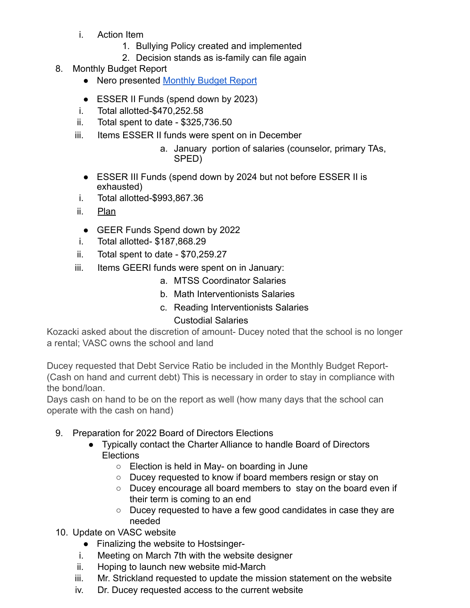- i. Action Item
	- 1. Bullying Policy created and implemented
	- 2. Decision stands as is-family can file again
- 8. Monthly Budget Report
	- Nero presented [Monthly Budget Report](https://drive.google.com/file/d/1q_oKgJ4u89V9umm148XQndoNavJmm3aK/view)
	- ESSER II Funds (spend down by 2023)
	- i. Total allotted-\$470,252.58
	- ii. Total spent to date \$325,736.50
	- iii. Items ESSER II funds were spent on in December
		- a. January portion of salaries (counselor, primary TAs, SPED)
		- ESSER III Funds (spend down by 2024 but not before ESSER II is exhausted)
	- i. Total allotted-\$993,867.36
	- ii. [Plan](https://docs.google.com/spreadsheets/d/1aVa8NCL63AsIeZ3jhtWO-WQjiOtEnbtKUoJH6W76cOA/edit?usp=sharing)
		- GEER Funds Spend down by 2022
	- i. Total allotted- \$187,868.29
	- ii. Total spent to date \$70,259.27
	- iii. Items GEERI funds were spent on in January:
		- a. MTSS Coordinator Salaries
		- b. Math Interventionists Salaries
		- c. Reading Interventionists Salaries **d.** Custodial Salaries

Kozacki asked about the discretion of amount- Ducey noted that the school is no longer a rental; VASC owns the school and land

Ducey requested that Debt Service Ratio be included in the Monthly Budget Report- (Cash on hand and current debt) This is necessary in order to stay in compliance with the bond/loan.

Days cash on hand to be on the report as well (how many days that the school can operate with the cash on hand)

- 9. Preparation for 2022 Board of Directors Elections
	- Typically contact the Charter Alliance to handle Board of Directors **Elections** 
		- Election is held in May- on boarding in June
		- Ducey requested to know if board members resign or stay on
		- Ducey encourage all board members to stay on the board even if their term is coming to an end
		- Ducey requested to have a few good candidates in case they are needed
- 10. Update on VASC website
	- Finalizing the website to Hostsinger-
	- i. Meeting on March 7th with the website designer
	- ii. Hoping to launch new website mid-March
	- iii. Mr. Strickland requested to update the mission statement on the website
	- iv. Dr. Ducey requested access to the current website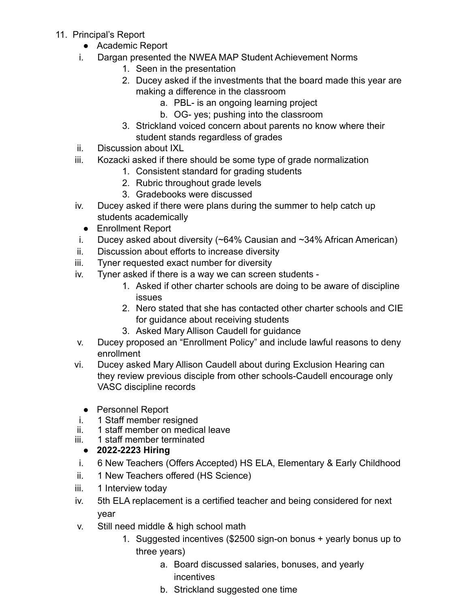- 11. Principal's Report
	- Academic Report
	- i. Dargan presented the NWEA MAP Student Achievement Norms
		- 1. Seen in the presentation
		- 2. Ducey asked if the investments that the board made this year are making a difference in the classroom
			- a. PBL- is an ongoing learning project
			- b. OG- yes; pushing into the classroom
		- 3. Strickland voiced concern about parents no know where their student stands regardless of grades
	- ii. Discussion about IXL
	- iii. Kozacki asked if there should be some type of grade normalization
		- 1. Consistent standard for grading students
		- 2. Rubric throughout grade levels
		- 3. Gradebooks were discussed
	- iv. Ducey asked if there were plans during the summer to help catch up students academically
		- Enrollment Report
	- i. Ducey asked about diversity (~64% Causian and ~34% African American)
	- ii. Discussion about efforts to increase diversity
	- iii. Tyner requested exact number for diversity
	- iv. Tyner asked if there is a way we can screen students
		- 1. Asked if other charter schools are doing to be aware of discipline issues
		- 2. Nero stated that she has contacted other charter schools and CIE for guidance about receiving students
		- 3. Asked Mary Allison Caudell for guidance
	- v. Ducey proposed an "Enrollment Policy" and include lawful reasons to deny enrollment
	- vi. Ducey asked Mary Allison Caudell about during Exclusion Hearing can they review previous disciple from other schools-Caudell encourage only VASC discipline records
		- Personnel Report
	- i. 1 Staff member resigned
	- ii. 1 staff member on medical leave
	- iii. 1 staff member terminated
		- **● 2022-2223 Hiring**
	- i. 6 New Teachers (Offers Accepted) HS ELA, Elementary & Early Childhood
	- ii. 1 New Teachers offered (HS Science)
	- iii. 1 Interview today
	- iv. 5th ELA replacement is a certified teacher and being considered for next year
	- v. Still need middle & high school math
		- 1. Suggested incentives (\$2500 sign-on bonus + yearly bonus up to three years)
			- a. Board discussed salaries, bonuses, and yearly incentives
			- b. Strickland suggested one time